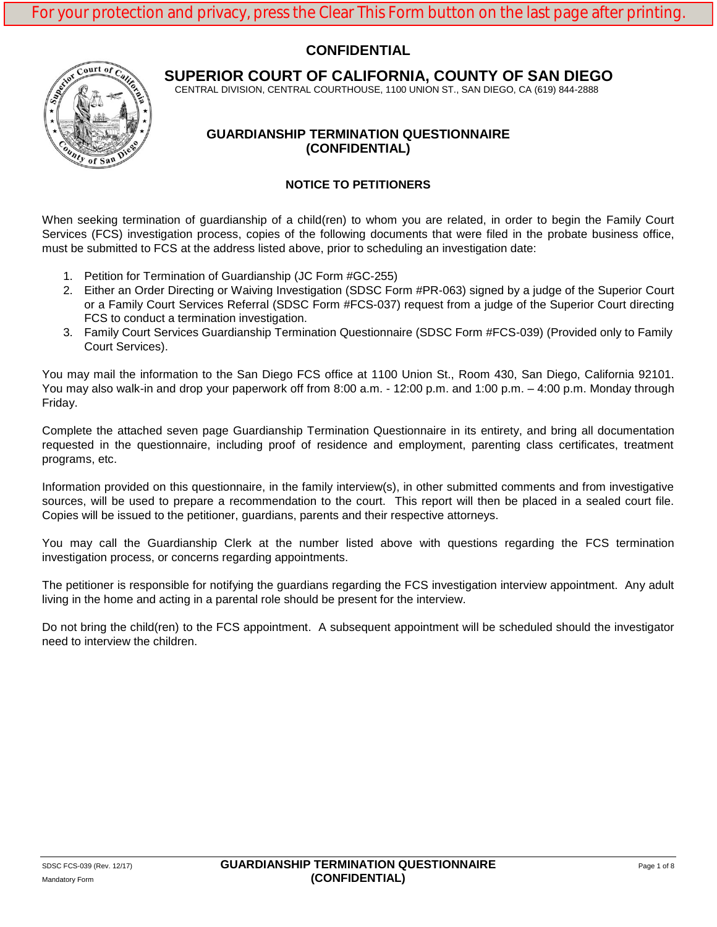# **CONFIDENTIAL**



**SUPERIOR COURT OF CALIFORNIA, COUNTY OF SAN DIEGO**

CENTRAL DIVISION, CENTRAL COURTHOUSE, 1100 UNION ST., SAN DIEGO, CA (619) 844-2888

### **GUARDIANSHIP TERMINATION QUESTIONNAIRE (CONFIDENTIAL)**

### **NOTICE TO PETITIONERS**

When seeking termination of guardianship of a child(ren) to whom you are related, in order to begin the Family Court Services (FCS) investigation process, copies of the following documents that were filed in the probate business office, must be submitted to FCS at the address listed above, prior to scheduling an investigation date:

- 1. Petition for Termination of Guardianship (JC Form #GC-255)
- 2. Either an Order Directing or Waiving Investigation (SDSC Form #PR-063) signed by a judge of the Superior Court or a Family Court Services Referral (SDSC Form #FCS-037) request from a judge of the Superior Court directing FCS to conduct a termination investigation.
- 3. Family Court Services Guardianship Termination Questionnaire (SDSC Form #FCS-039) (Provided only to Family Court Services).

You may mail the information to the San Diego FCS office at 1100 Union St., Room 430, San Diego, California 92101. You may also walk-in and drop your paperwork off from 8:00 a.m. - 12:00 p.m. and 1:00 p.m. – 4:00 p.m. Monday through Friday.

Complete the attached seven page Guardianship Termination Questionnaire in its entirety, and bring all documentation requested in the questionnaire, including proof of residence and employment, parenting class certificates, treatment programs, etc.

Information provided on this questionnaire, in the family interview(s), in other submitted comments and from investigative sources, will be used to prepare a recommendation to the court. This report will then be placed in a sealed court file. Copies will be issued to the petitioner, guardians, parents and their respective attorneys.

You may call the Guardianship Clerk at the number listed above with questions regarding the FCS termination investigation process, or concerns regarding appointments.

The petitioner is responsible for notifying the guardians regarding the FCS investigation interview appointment. Any adult living in the home and acting in a parental role should be present for the interview.

Do not bring the child(ren) to the FCS appointment. A subsequent appointment will be scheduled should the investigator need to interview the children.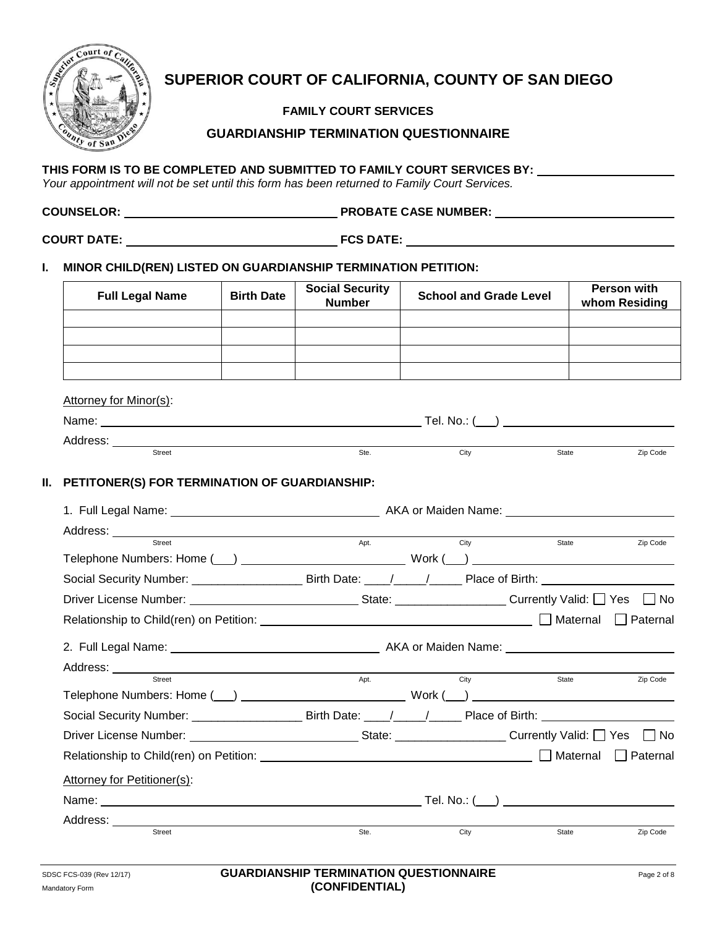

# **SUPERIOR COURT OF CALIFORNIA, COUNTY OF SAN DIEGO**

**FAMILY COURT SERVICES**

### **GUARDIANSHIP TERMINATION QUESTIONNAIRE**

### **THIS FORM IS TO BE COMPLETED AND SUBMITTED TO FAMILY COURT SERVICES BY:**

*Your appointment will not be set until this form has been returned to Family Court Services.*

| <b>COUNSELOR:</b> | <b>PROBATE CASE NUMBER:</b> |
|-------------------|-----------------------------|
|                   |                             |

**COURT DATE: FCS DATE:**

### **I. MINOR CHILD(REN) LISTED ON GUARDIANSHIP TERMINATION PETITION:**

| <b>Full Legal Name</b>                                                                                                                                                                                                        | <b>Birth Date</b> | <b>Social Security</b><br><b>Number</b> | <b>School and Grade Level</b> |       | <b>Person with</b><br>whom Residing |
|-------------------------------------------------------------------------------------------------------------------------------------------------------------------------------------------------------------------------------|-------------------|-----------------------------------------|-------------------------------|-------|-------------------------------------|
|                                                                                                                                                                                                                               |                   |                                         |                               |       |                                     |
|                                                                                                                                                                                                                               |                   |                                         |                               |       |                                     |
|                                                                                                                                                                                                                               |                   |                                         |                               |       |                                     |
|                                                                                                                                                                                                                               |                   |                                         |                               |       |                                     |
| Attorney for Minor(s):                                                                                                                                                                                                        |                   |                                         |                               |       |                                     |
|                                                                                                                                                                                                                               |                   |                                         |                               |       |                                     |
| Street                                                                                                                                                                                                                        |                   | Ste.                                    | City                          | State | Zip Code                            |
|                                                                                                                                                                                                                               |                   |                                         |                               |       |                                     |
| II. PETITONER(S) FOR TERMINATION OF GUARDIANSHIP:                                                                                                                                                                             |                   |                                         |                               |       |                                     |
|                                                                                                                                                                                                                               |                   |                                         |                               |       |                                     |
|                                                                                                                                                                                                                               |                   |                                         |                               |       |                                     |
| Street                                                                                                                                                                                                                        |                   | Apt.                                    | City                          | State | Zip Code                            |
|                                                                                                                                                                                                                               |                   |                                         |                               |       |                                     |
|                                                                                                                                                                                                                               |                   |                                         |                               |       |                                     |
|                                                                                                                                                                                                                               |                   |                                         |                               |       |                                     |
| Driver License Number: ___________________________________State: _______________________Currently Valid: □ Yes □ No                                                                                                           |                   |                                         |                               |       |                                     |
|                                                                                                                                                                                                                               |                   |                                         |                               |       |                                     |
|                                                                                                                                                                                                                               |                   |                                         |                               |       |                                     |
|                                                                                                                                                                                                                               |                   |                                         |                               |       |                                     |
| Street                                                                                                                                                                                                                        |                   | Apt.                                    | City                          | State |                                     |
|                                                                                                                                                                                                                               |                   |                                         |                               |       |                                     |
| Social Security Number: __________________________Birth Date: _____/_____________Place of Birth:                                                                                                                              |                   |                                         |                               |       |                                     |
| Driver License Number: No 2010 10 2010 10:00 State: No 2010 10:00 State: No 2010 2010 10:00 2010 10:00 2010 10:00 2010 10:00 2010 10:00 2010 10:00 2010 10:00 2010 10:00 2010 10:00 2010 10:00 2010 10:00 2010 10:00 2010 10: |                   |                                         |                               |       |                                     |
|                                                                                                                                                                                                                               |                   |                                         |                               |       |                                     |
| Attorney for Petitioner(s):                                                                                                                                                                                                   |                   |                                         |                               |       |                                     |
|                                                                                                                                                                                                                               |                   |                                         |                               |       |                                     |
| Street                                                                                                                                                                                                                        |                   | Ste.                                    | City                          | State | Zip Code<br>Zip Code                |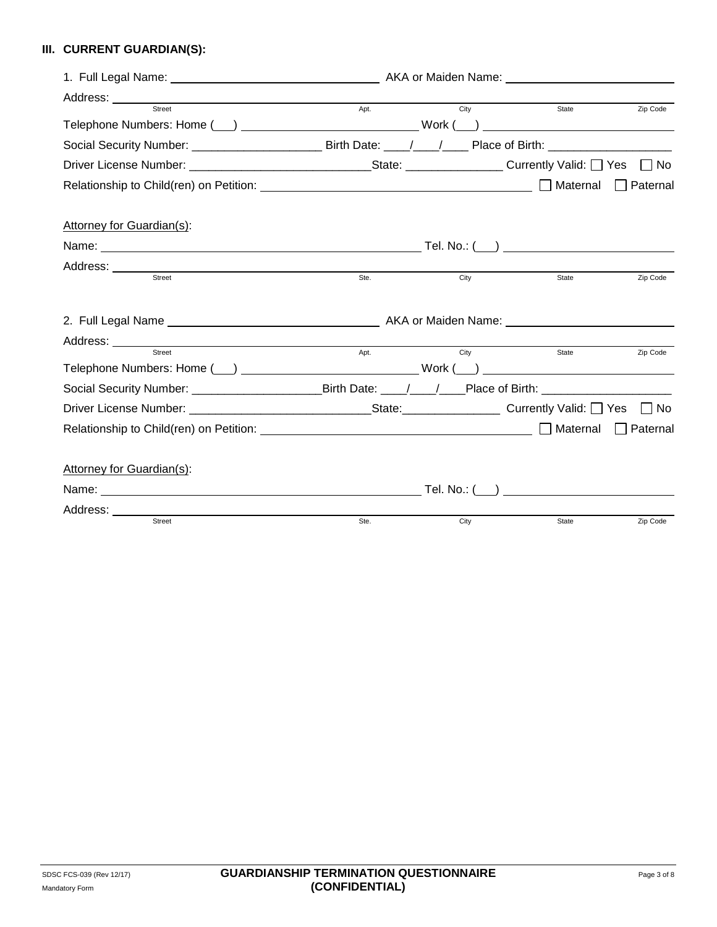# **III. CURRENT GUARDIAN(S):**

|                                                                                                                                                | Apt. |      | <b>City</b><br><b>State</b> | Zip Code           |
|------------------------------------------------------------------------------------------------------------------------------------------------|------|------|-----------------------------|--------------------|
| Telephone Numbers: Home (___) ____________________________Work (___) ____________                                                              |      |      |                             |                    |
|                                                                                                                                                |      |      |                             |                    |
|                                                                                                                                                |      |      |                             | $\vert$ $\vert$ No |
|                                                                                                                                                |      |      |                             | Paternal           |
| Attorney for Guardian(s):                                                                                                                      |      |      |                             |                    |
|                                                                                                                                                |      |      |                             |                    |
| Address: ____________<br><u> 1989 - Johann Barn, mars ann an t-Amhain Aonaich ann an t-Aonaich ann an t-Aonaich ann an t-Aonaich ann an t-</u> |      |      |                             |                    |
| Street                                                                                                                                         | Ste. | City | State                       | Zip Code           |
|                                                                                                                                                |      |      |                             |                    |
|                                                                                                                                                |      |      |                             |                    |
| Street                                                                                                                                         | Apt. |      | <b>City City</b><br>State   | Zip Code           |
|                                                                                                                                                |      |      |                             |                    |
| Social Security Number: _____________________________Birth Date: ____/____/____Place of Birth: _______________                                 |      |      |                             |                    |
|                                                                                                                                                |      |      |                             | $\Box$ No          |
|                                                                                                                                                |      |      |                             | $\Box$ Paternal    |
| Attorney for Guardian(s):                                                                                                                      |      |      |                             |                    |
|                                                                                                                                                |      |      |                             |                    |
|                                                                                                                                                |      |      |                             |                    |
| Street                                                                                                                                         | Ste. | City | State                       | Zip Code           |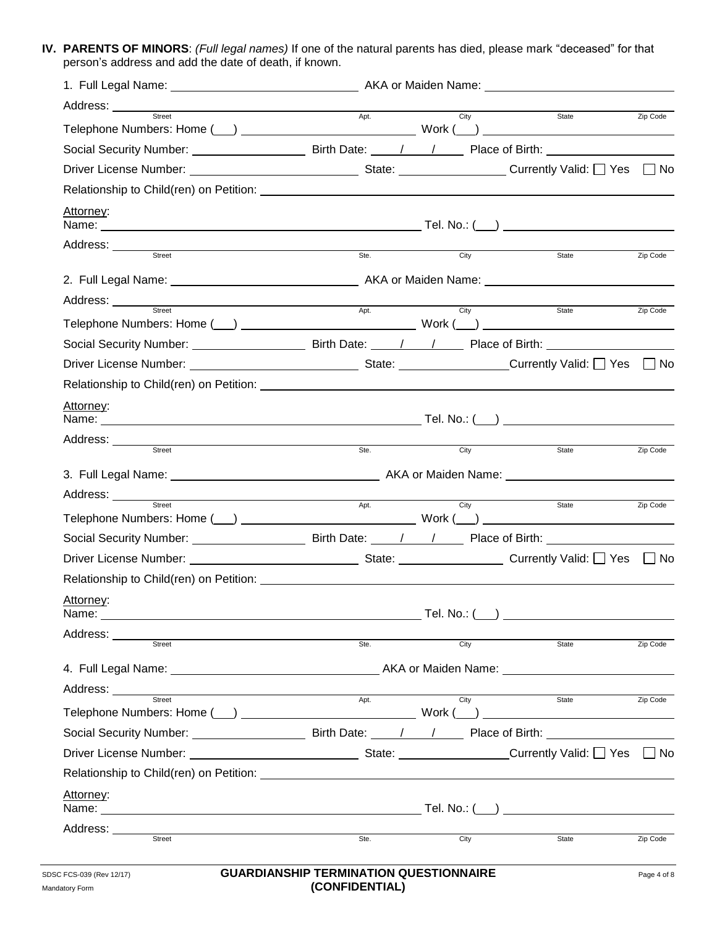**IV. PARENTS OF MINORS**: *(Full legal names)* If one of the natural parents has died, please mark "deceased" for that person's address and add the date of death, if known.

| 1. Full Legal Name: _________________________________AKA or Maiden Name: __________________________                                                                                                                                  |      |      |       |          |
|--------------------------------------------------------------------------------------------------------------------------------------------------------------------------------------------------------------------------------------|------|------|-------|----------|
|                                                                                                                                                                                                                                      |      | City |       |          |
|                                                                                                                                                                                                                                      |      |      | State | Zip Code |
|                                                                                                                                                                                                                                      |      |      |       |          |
|                                                                                                                                                                                                                                      |      |      |       |          |
|                                                                                                                                                                                                                                      |      |      |       |          |
| Attorney:                                                                                                                                                                                                                            |      |      |       |          |
| Address: Street                                                                                                                                                                                                                      |      |      |       |          |
|                                                                                                                                                                                                                                      | Ste. | City | State | Zip Code |
|                                                                                                                                                                                                                                      |      |      |       |          |
| Address: <u>Street Street Apt.</u> City                                                                                                                                                                                              |      |      |       |          |
|                                                                                                                                                                                                                                      |      |      | State | Zip Code |
|                                                                                                                                                                                                                                      |      |      |       |          |
|                                                                                                                                                                                                                                      |      |      |       |          |
|                                                                                                                                                                                                                                      |      |      |       |          |
| Attorney:                                                                                                                                                                                                                            |      |      |       |          |
|                                                                                                                                                                                                                                      |      |      |       |          |
| Address: Street                                                                                                                                                                                                                      | Ste. | City | State | Zip Code |
|                                                                                                                                                                                                                                      |      |      |       |          |
|                                                                                                                                                                                                                                      |      |      |       |          |
| Street                                                                                                                                                                                                                               | Apt. | City | State | Zip Code |
|                                                                                                                                                                                                                                      |      |      |       |          |
|                                                                                                                                                                                                                                      |      |      |       |          |
|                                                                                                                                                                                                                                      |      |      |       |          |
|                                                                                                                                                                                                                                      |      |      |       |          |
| <u>Attorney:</u>                                                                                                                                                                                                                     |      |      |       |          |
| Address: ______<br><u> 1989 - Jan Stein Stein Stein Stein Stein Stein Stein Stein Stein Stein Stein Stein Stein Stein Stein Stein S</u>                                                                                              |      |      |       |          |
| Street                                                                                                                                                                                                                               | Ste. | City | State | Zip Code |
|                                                                                                                                                                                                                                      |      |      |       |          |
| Address: <u>street and the street</u>                                                                                                                                                                                                |      |      |       |          |
|                                                                                                                                                                                                                                      | Apt. | City | State | Zip Code |
|                                                                                                                                                                                                                                      |      |      |       |          |
|                                                                                                                                                                                                                                      |      |      |       |          |
| Relationship to Child(ren) on Petition: <u>example and the contract of the contract of the contract of the contract of the contract of the contract of the contract of the contract of the contract of the contract of the contr</u> |      |      |       |          |
| Attorney:                                                                                                                                                                                                                            |      |      |       |          |
|                                                                                                                                                                                                                                      |      |      |       |          |
| Street                                                                                                                                                                                                                               | Ste. | City | State | Zip Code |
|                                                                                                                                                                                                                                      |      |      |       |          |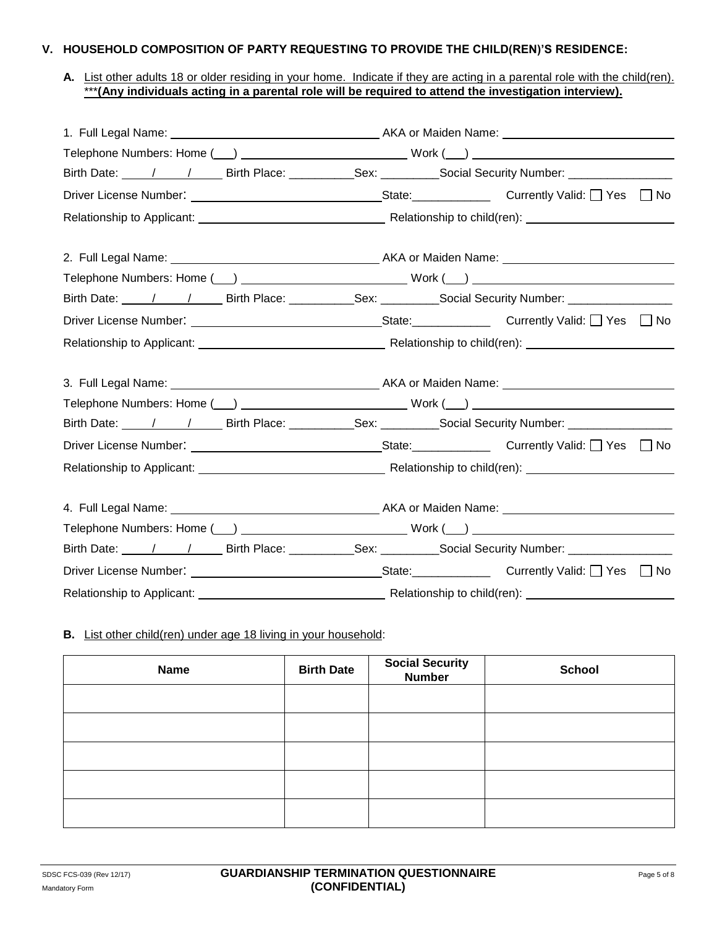#### **V. HOUSEHOLD COMPOSITION OF PARTY REQUESTING TO PROVIDE THE CHILD(REN)'S RESIDENCE:**

### **A.** List other adults 18 or older residing in your home. Indicate if they are acting in a parental role with the child(ren). \*\*\***(Any individuals acting in a parental role will be required to attend the investigation interview).**

| Birth Date: 1 1 1 Birth Place: Sex: Sex: Social Security Number: 11 11 11 12 |  |  |
|------------------------------------------------------------------------------|--|--|
|                                                                              |  |  |
|                                                                              |  |  |
|                                                                              |  |  |
|                                                                              |  |  |
| Birth Date: 1 1 1 Birth Place: Sex: Sex: Social Security Number: 11 11 11 12 |  |  |
|                                                                              |  |  |
|                                                                              |  |  |
|                                                                              |  |  |
|                                                                              |  |  |
| Birth Date: 1 1 1 Birth Place: Sex: Sex: Social Security Number: 1 2020      |  |  |
|                                                                              |  |  |
|                                                                              |  |  |
|                                                                              |  |  |
|                                                                              |  |  |
| Birth Date: 1 1 1 Birth Place: Sex: Sex: Social Security Number: 1 2020      |  |  |
|                                                                              |  |  |
|                                                                              |  |  |

#### **B.** List other child(ren) under age 18 living in your household:

| <b>Name</b> | <b>Birth Date</b> | <b>Social Security<br/>Number</b> | <b>School</b> |
|-------------|-------------------|-----------------------------------|---------------|
|             |                   |                                   |               |
|             |                   |                                   |               |
|             |                   |                                   |               |
|             |                   |                                   |               |
|             |                   |                                   |               |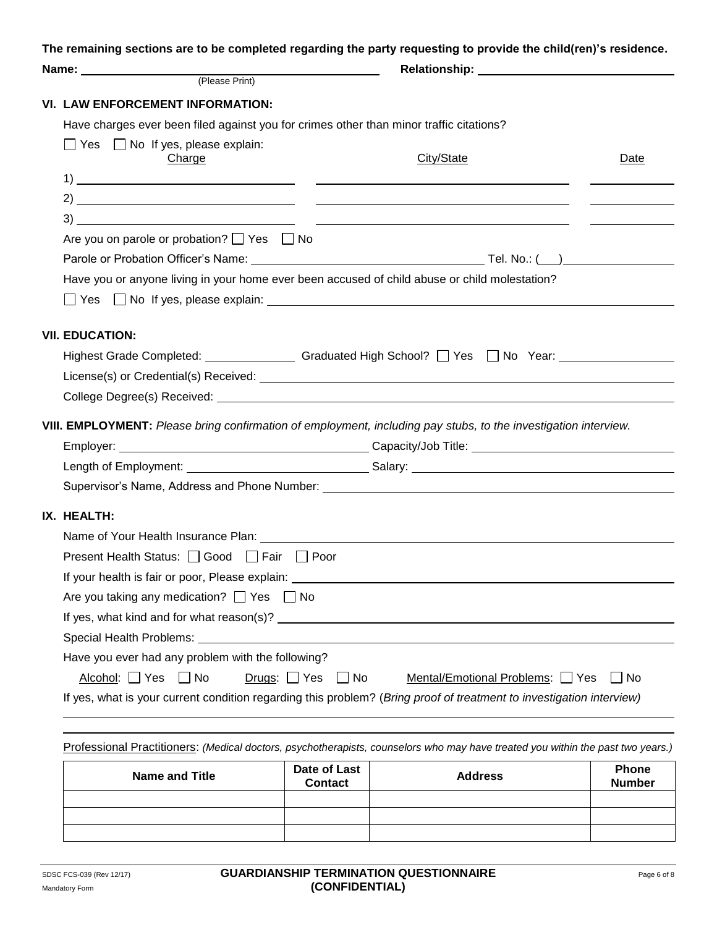**The remaining sections are to be completed regarding the party requesting to provide the child(ren)'s residence.**

|                               | VI. LAW ENFORCEMENT INFORMATION:                              |                                |                                                                                                                                                                                                                                |                                                                                                                                                                                                                                      |
|-------------------------------|---------------------------------------------------------------|--------------------------------|--------------------------------------------------------------------------------------------------------------------------------------------------------------------------------------------------------------------------------|--------------------------------------------------------------------------------------------------------------------------------------------------------------------------------------------------------------------------------------|
|                               |                                                               |                                | Have charges ever been filed against you for crimes other than minor traffic citations?                                                                                                                                        |                                                                                                                                                                                                                                      |
|                               | $\Box$ Yes $\Box$ No If yes, please explain:<br><b>Charge</b> |                                | City/State                                                                                                                                                                                                                     | Date                                                                                                                                                                                                                                 |
|                               |                                                               |                                |                                                                                                                                                                                                                                |                                                                                                                                                                                                                                      |
|                               |                                                               |                                |                                                                                                                                                                                                                                |                                                                                                                                                                                                                                      |
|                               |                                                               |                                |                                                                                                                                                                                                                                | <u>and the company of the company of the company of the company of the company of the company of the company of the company of the company of the company of the company of the company of the company of the company of the com</u> |
|                               | Are you on parole or probation? $\Box$ Yes $\Box$ No          |                                |                                                                                                                                                                                                                                |                                                                                                                                                                                                                                      |
|                               |                                                               |                                |                                                                                                                                                                                                                                |                                                                                                                                                                                                                                      |
|                               |                                                               |                                | Have you or anyone living in your home ever been accused of child abuse or child molestation?                                                                                                                                  |                                                                                                                                                                                                                                      |
|                               |                                                               |                                | $\Box$ Yes $\Box$ No If yes, please explain: $\Box$                                                                                                                                                                            |                                                                                                                                                                                                                                      |
|                               |                                                               |                                |                                                                                                                                                                                                                                |                                                                                                                                                                                                                                      |
| <b>VII. EDUCATION:</b>        |                                                               |                                |                                                                                                                                                                                                                                |                                                                                                                                                                                                                                      |
|                               |                                                               |                                | Highest Grade Completed: Canadian Craduated High School? □ Yes □ No Year: Canadian Crame Completed: Craduated High School? □ Yes □ No Year:                                                                                    |                                                                                                                                                                                                                                      |
|                               |                                                               |                                | License(s) or Credential(s) Received: Letter and the state of the state of the state of the state of the state of the state of the state of the state of the state of the state of the state of the state of the state of the  |                                                                                                                                                                                                                                      |
|                               |                                                               |                                |                                                                                                                                                                                                                                |                                                                                                                                                                                                                                      |
|                               |                                                               |                                | VIII. EMPLOYMENT: Please bring confirmation of employment, including pay stubs, to the investigation interview.                                                                                                                |                                                                                                                                                                                                                                      |
|                               |                                                               |                                |                                                                                                                                                                                                                                |                                                                                                                                                                                                                                      |
|                               |                                                               |                                |                                                                                                                                                                                                                                |                                                                                                                                                                                                                                      |
|                               |                                                               |                                |                                                                                                                                                                                                                                |                                                                                                                                                                                                                                      |
|                               |                                                               |                                |                                                                                                                                                                                                                                |                                                                                                                                                                                                                                      |
| IX. HEALTH:                   |                                                               |                                |                                                                                                                                                                                                                                |                                                                                                                                                                                                                                      |
|                               |                                                               |                                |                                                                                                                                                                                                                                |                                                                                                                                                                                                                                      |
|                               | Present Health Status: <b>□ Good</b> □ Fair □ Poor            |                                |                                                                                                                                                                                                                                |                                                                                                                                                                                                                                      |
|                               |                                                               |                                |                                                                                                                                                                                                                                |                                                                                                                                                                                                                                      |
|                               | Are you taking any medication? $\Box$ Yes $\Box$ No           |                                |                                                                                                                                                                                                                                |                                                                                                                                                                                                                                      |
|                               |                                                               |                                |                                                                                                                                                                                                                                |                                                                                                                                                                                                                                      |
|                               |                                                               |                                | Special Health Problems: Letter and the second service of the service of the service of the service of the service of the service of the service of the service of the service of the service of the service of the service of |                                                                                                                                                                                                                                      |
|                               | Have you ever had any problem with the following?             |                                |                                                                                                                                                                                                                                |                                                                                                                                                                                                                                      |
| Alcohol: $\Box$ Yes $\Box$ No |                                                               | Drugs: $\Box$ Yes<br>$\Box$ No | Mental/Emotional Problems: 7 Yes                                                                                                                                                                                               | $\Box$ No                                                                                                                                                                                                                            |
|                               |                                                               |                                | If yes, what is your current condition regarding this problem? (Bring proof of treatment to investigation interview)                                                                                                           |                                                                                                                                                                                                                                      |
|                               |                                                               |                                |                                                                                                                                                                                                                                |                                                                                                                                                                                                                                      |
|                               |                                                               |                                | Professional Practitioners: (Medical doctors, psychotherapists, counselors who may have treated you within the past two years.)                                                                                                |                                                                                                                                                                                                                                      |
|                               | <b>Name and Title</b>                                         | Date of Last                   | <b>Address</b>                                                                                                                                                                                                                 | <b>Phone</b>                                                                                                                                                                                                                         |

| <b>Name and Title</b> | Date of Last<br><b>Contact</b> | <b>Address</b> | Phone<br><b>Number</b> |
|-----------------------|--------------------------------|----------------|------------------------|
|                       |                                |                |                        |
|                       |                                |                |                        |
|                       |                                |                |                        |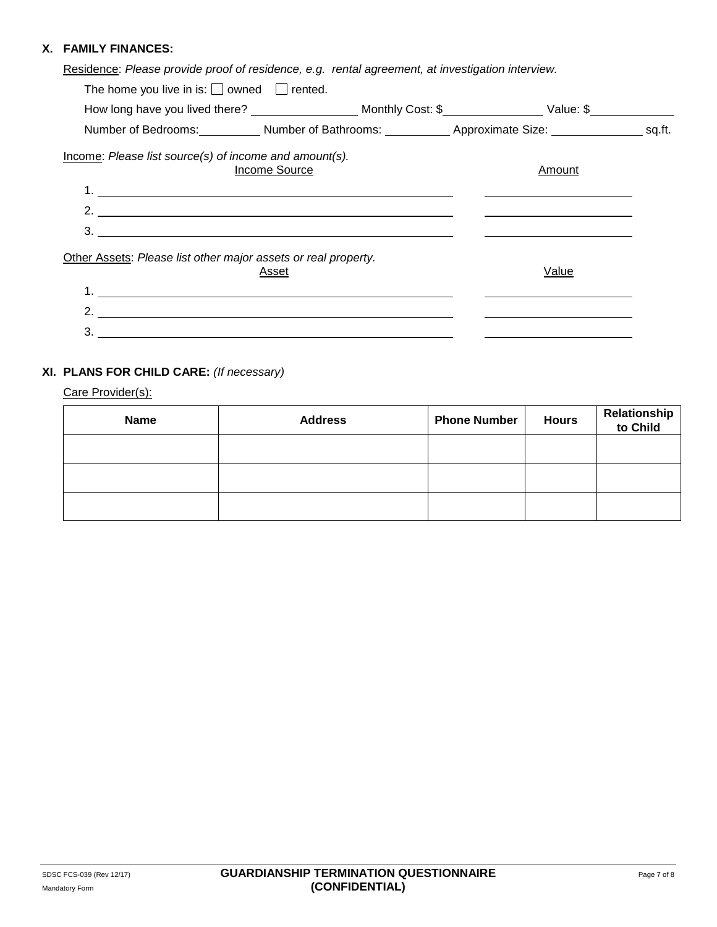### **X. FAMILY FINANCES:**

|  |  |  | Residence: Please provide proof of residence, e.g. rental agreement, at investigation interview. |  |
|--|--|--|--------------------------------------------------------------------------------------------------|--|
|  |  |  |                                                                                                  |  |
|  |  |  |                                                                                                  |  |
|  |  |  |                                                                                                  |  |

| The home you live in is: $\Box$ owned $\Box$ rented.                                                                     |  |        |  |
|--------------------------------------------------------------------------------------------------------------------------|--|--------|--|
| How long have you lived there? __________________________Monthly Cost: \$______________________Value: \$________________ |  |        |  |
| Number of Bedrooms: Number of Bathrooms: Number of Bathrooms: Number of Approximate Size: Number of Bedrooms:            |  |        |  |
| Income: Please list source(s) of income and amount(s).<br>Income Source                                                  |  | Amount |  |
|                                                                                                                          |  |        |  |
| 2. $\overline{\phantom{a}}$                                                                                              |  |        |  |
| $\frac{3}{2}$                                                                                                            |  |        |  |
| Other Assets: Please list other major assets or real property.<br>Asset                                                  |  | Value  |  |
|                                                                                                                          |  |        |  |
| 2. $\qquad \qquad$                                                                                                       |  |        |  |
|                                                                                                                          |  |        |  |

# **XI. PLANS FOR CHILD CARE:** *(If necessary)*

Care Provider(s):

| Name | <b>Address</b> | <b>Phone Number</b> | <b>Hours</b> | <b>Relationship<br/>to Child</b> |
|------|----------------|---------------------|--------------|----------------------------------|
|      |                |                     |              |                                  |
|      |                |                     |              |                                  |
|      |                |                     |              |                                  |